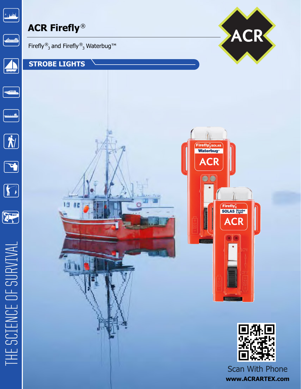

# **ACR Firefly**®



個

 $\overline{u}$ 

### **STROBE LIGHTS**







**Scan With Phone www.ACRARTEX.com**